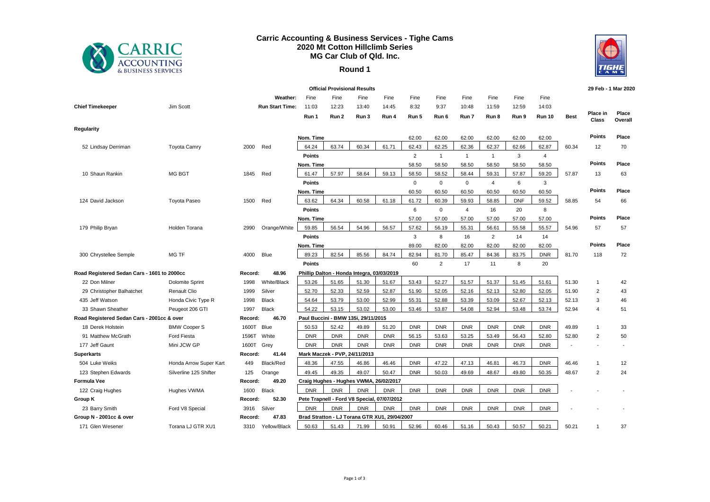

## **Carric Accounting & Business Services - Tighe Cams 2020 Mt Cotton Hillclimb Series MG Car Club of Qld. Inc.**

## **Round 1**



| <b>Official Provisional Results</b>         |                        |         |                        |               |                               |                                            |                                               |                |                |                |                |            |                | 29 Feb - 1 Mar 2020 |                   |                  |
|---------------------------------------------|------------------------|---------|------------------------|---------------|-------------------------------|--------------------------------------------|-----------------------------------------------|----------------|----------------|----------------|----------------|------------|----------------|---------------------|-------------------|------------------|
|                                             |                        |         | Weather:               | Fine          | Fine                          | Fine                                       | Fine                                          | Fine           | Fine           | Fine           | Fine           | Fine       | Fine           |                     |                   |                  |
| <b>Chief Timekeeper</b>                     | Jim Scott              |         | <b>Run Start Time:</b> | 11:03         | 12:23                         | 13:40                                      | 14:45                                         | 8:32           | 9:37           | 10:48          | 11:59          | 12:59      | 14:03          |                     |                   |                  |
|                                             |                        |         |                        | Run 1         | Run 2                         | Run 3                                      | Run 4                                         | Run 5          | Run 6          | Run 7          | Run 8          | Run 9      | <b>Run 10</b>  | <b>Best</b>         | Place in<br>Class | Place<br>Overall |
| Regularity                                  |                        |         |                        |               |                               |                                            |                                               |                |                |                |                |            |                |                     |                   |                  |
|                                             |                        |         |                        | Nom. Time     |                               |                                            |                                               | 62.00          | 62.00          | 62.00          | 62.00          | 62.00      | 62.00          |                     | Points            | Place            |
| 52 Lindsay Derriman                         | <b>Toyota Camry</b>    | 2000    | Red                    | 64.24         | 63.74                         | 60.34                                      | 61.71                                         | 62.43          | 62.25          | 62.36          | 62.37          | 62.66      | 62.87          | 60.34               | 12                | 70               |
|                                             |                        |         |                        | <b>Points</b> |                               |                                            |                                               | $\overline{2}$ | $\overline{1}$ | $\mathbf{1}$   | $\mathbf{1}$   | 3          | $\overline{4}$ |                     |                   |                  |
|                                             |                        |         |                        | Nom. Time     |                               |                                            |                                               | 58.50          | 58.50          | 58.50          | 58.50          | 58.50      | 58.50          |                     | Points            | Place            |
| 10 Shaun Rankin                             | <b>MG BGT</b>          | 1845    | Red                    | 61.47         | 57.97                         | 58.64                                      | 59.13                                         | 58.50          | 58.52          | 58.44          | 59.31          | 57.87      | 59.20          | 57.87               | 13                | 63               |
|                                             |                        |         |                        | <b>Points</b> |                               |                                            |                                               | $\mathbf 0$    | $\mathbf{0}$   | $\mathbf 0$    | $\overline{4}$ | 6          | 3              |                     |                   |                  |
|                                             |                        |         |                        | Nom. Time     |                               |                                            |                                               | 60.50          | 60.50          | 60.50          | 60.50          | 60.50      | 60.50          |                     | Points            | Place            |
| 124 David Jackson                           | <b>Toyota Paseo</b>    | 1500    | Red                    | 63.62         | 64.34                         | 60.58                                      | 61.18                                         | 61.72          | 60.39          | 59.93          | 58.85          | <b>DNF</b> | 59.52          | 58.85               | 54                | 66               |
|                                             |                        |         |                        | <b>Points</b> |                               |                                            |                                               | 6              | $\mathbf 0$    | $\overline{4}$ | 16             | 20         | 8              |                     |                   |                  |
|                                             |                        |         |                        | Nom. Time     |                               |                                            |                                               | 57.00          | 57.00          | 57.00          | 57.00          | 57.00      | 57.00          |                     | Points            | Place            |
| 179 Philip Bryan                            | Holden Torana          | 2990    | Orange/White           | 59.85         | 56.54                         | 54.96                                      | 56.57                                         | 57.62          | 56.19          | 55.31          | 56.61          | 55.58      | 55.57          | 54.96               | 57                | 57               |
|                                             |                        |         |                        | <b>Points</b> |                               |                                            |                                               | 3              | 8              | 16             | 2              | 14         | 14             |                     |                   |                  |
|                                             |                        |         |                        | Nom. Time     |                               |                                            |                                               | 89.00          | 82.00          | 82.00          | 82.00          | 82.00      | 82.00          |                     | <b>Points</b>     | Place            |
| 300 Chrystellee Semple                      | MG TF                  | 4000    | <b>Blue</b>            | 89.23         | 82.54                         | 85.56                                      | 84.74                                         | 82.94          | 81.70          | 85.47          | 84.36          | 83.75      | <b>DNR</b>     | 81.70               | 118               | 72               |
|                                             |                        |         |                        | <b>Points</b> |                               |                                            |                                               | 60             | $\overline{2}$ | 17             | 11             | 8          | 20             |                     |                   |                  |
| Road Registered Sedan Cars - 1601 to 2000cc |                        | Record: | 48.96                  |               |                               | Phillip Dalton - Honda Integra, 03/03/2019 |                                               |                |                |                |                |            |                |                     |                   |                  |
| 22 Don Milner                               | Dolomite Sprint        | 1998    | White/Black            | 53.26         | 51.65                         | 51.30                                      | 51.67                                         | 53.43          | 52.27          | 51.57          | 51.37          | 51.45      | 51.61          | 51.30               | $\mathbf{1}$      | 42               |
| 29 Christopher Balhatchet                   | <b>Renault Clio</b>    | 1999    | Silver                 | 52.70         | 52.33                         | 52.59                                      | 52.87                                         | 51.90          | 52.05          | 52.16          | 52.13          | 52.80      | 52.05          | 51.90               | 2                 | 43               |
| 435 Jeff Watson                             | Honda Civic Type R     | 1998    | Black                  | 54.64         | 53.79                         | 53.00                                      | 52.99                                         | 55.31          | 52.88          | 53.39          | 53.09          | 52.67      | 52.13          | 52.13               | 3                 | 46               |
| 33 Shawn Sheather                           | Peugeot 206 GTI        | 1997    | <b>Black</b>           | 54.22         | 53.15                         | 53.02                                      | 53.00                                         | 53.46          | 53.87          | 54.08          | 52.94          | 53.48      | 53.74          | 52.94               | $\overline{4}$    | 51               |
| Road Registered Sedan Cars - 2001cc & over  |                        | Record: | 46.70                  |               |                               | Paul Buccini - BMW 135i, 29/11/2015        |                                               |                |                |                |                |            |                |                     |                   |                  |
| 18 Derek Holstein                           | <b>BMW Cooper S</b>    | 1600T   | Blue                   | 50.53         | 52.42                         | 49.89                                      | 51.20                                         | <b>DNR</b>     | <b>DNR</b>     | <b>DNR</b>     | <b>DNR</b>     | <b>DNR</b> | <b>DNR</b>     | 49.89               | $\mathbf{1}$      | 33               |
| 91 Matthew McGrath                          | <b>Ford Fiesta</b>     | 1596T   | White                  | <b>DNR</b>    | <b>DNR</b>                    | <b>DNR</b>                                 | <b>DNR</b>                                    | 56.15          | 53.63          | 53.25          | 53.49          | 56.43      | 52.80          | 52.80               | 2                 | 50               |
| 177 Jeff Gaunt                              | Mini JCW GP            | 1600T   | Grey                   | <b>DNR</b>    | <b>DNR</b>                    | <b>DNR</b>                                 | <b>DNR</b>                                    | <b>DNR</b>     | <b>DNR</b>     | <b>DNR</b>     | <b>DNR</b>     | <b>DNR</b> | <b>DNR</b>     |                     |                   |                  |
| <b>Superkarts</b>                           |                        | Record: | 41.44                  |               | Mark Maczek - PVP, 24/11/2013 |                                            |                                               |                |                |                |                |            |                |                     |                   |                  |
| 504 Luke Weiks                              | Honda Arrow Super Kart | 449     | Black/Red              | 48.36         | 47.55                         | 46.86                                      | 46.46                                         | <b>DNR</b>     | 47.22          | 47.13          | 46.81          | 46.73      | <b>DNR</b>     | 46.46               | $\overline{1}$    | 12               |
| 123 Stephen Edwards                         | Silverline 125 Shifter | 125     | Orange                 | 49.45         | 49.35                         | 49.07                                      | 50.47                                         | <b>DNR</b>     | 50.03          | 49.69          | 48.67          | 49.80      | 50.35          | 48.67               | $\overline{2}$    | 24               |
| Formula Vee                                 |                        | Record: | 49.20                  |               |                               |                                            | Craig Hughes - Hughes VWMA, 26/02/2017        |                |                |                |                |            |                |                     |                   |                  |
| 122 Craig Hughes                            | Hughes VWMA            | 1600    | Black                  | <b>DNR</b>    | <b>DNR</b>                    | <b>DNR</b>                                 | <b>DNR</b>                                    | <b>DNR</b>     | <b>DNR</b>     | <b>DNR</b>     | <b>DNR</b>     | <b>DNR</b> | <b>DNR</b>     |                     |                   |                  |
| Group K                                     |                        | Record: | 52.30                  |               |                               |                                            | Pete Trapnell - Ford V8 Special, 07/07/2012   |                |                |                |                |            |                |                     |                   |                  |
| 23 Barry Smith                              | Ford V8 Special        | 3916    | Silver                 | <b>DNR</b>    | <b>DNR</b>                    | <b>DNR</b>                                 | <b>DNR</b>                                    | <b>DNR</b>     | <b>DNR</b>     | <b>DNR</b>     | <b>DNR</b>     | <b>DNR</b> | <b>DNR</b>     |                     |                   |                  |
| Group N - 2001cc & over                     |                        | Record: | 47.83                  |               |                               |                                            | Brad Stratton - LJ Torana GTR XU1, 29/04/2007 |                |                |                |                |            |                |                     |                   |                  |
| 171 Glen Wesener                            | Torana LJ GTR XU1      | 3310    | Yellow/Black           | 50.63         | 51.43                         | 71.99                                      | 50.91                                         | 52.96          | 60.46          | 51.16          | 50.43          | 50.57      | 50.21          | 50.21               | $\mathbf{1}$      | 37               |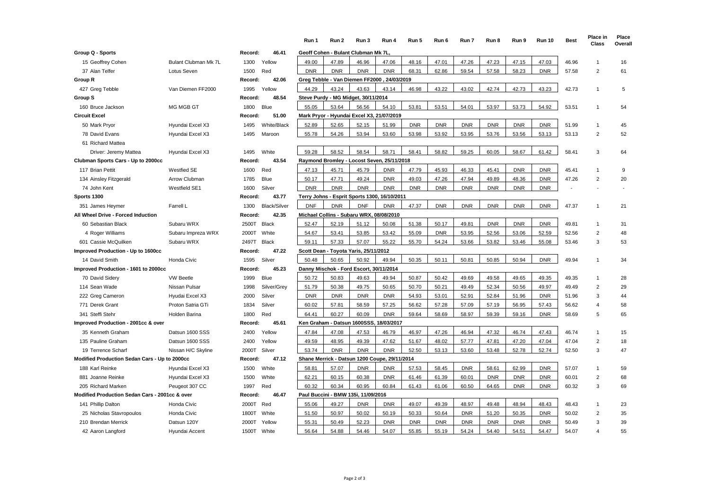|                                                |                             |             |              | Run 1      | Run 2      | Run 3                                    | Run 4                                         | Run 5      | Run 6      | Run 7      | Run 8      | Run 9      | <b>Run 10</b> | <b>Best</b> | Place in<br>Class | Place<br>Overall |
|------------------------------------------------|-----------------------------|-------------|--------------|------------|------------|------------------------------------------|-----------------------------------------------|------------|------------|------------|------------|------------|---------------|-------------|-------------------|------------------|
| Group Q - Sports                               |                             | Record:     | 46.41        |            |            | Geoff Cohen - Bulant Clubman Mk 7L,      |                                               |            |            |            |            |            |               |             |                   |                  |
| 15 Geoffrey Cohen                              | <b>Bulant Clubman Mk 7L</b> | 1300        | Yellow       | 49.00      | 47.89      | 46.96                                    | 47.06                                         | 48.16      | 47.01      | 47.26      | 47.23      | 47.15      | 47.03         | 46.96       | $\mathbf{1}$      | 16               |
| 37 Alan Telfer                                 | Lotus Seven                 | 1500        | Red          | <b>DNR</b> | <b>DNR</b> | <b>DNR</b>                               | <b>DNR</b>                                    | 68.31      | 62.86      | 59.54      | 57.58      | 58.23      | <b>DNR</b>    | 57.58       | 2                 | 61               |
| Group R                                        |                             | Record:     | 42.06        |            |            |                                          | Greg Tebble - Van Diemen FF2000, 24/03/2019   |            |            |            |            |            |               |             |                   |                  |
| 427 Greg Tebble                                | Van Diemen FF2000           | 1995        | Yellow       | 44.29      | 43.24      | 43.63                                    | 43.14                                         | 46.98      | 43.22      | 43.02      | 42.74      | 42.73      | 43.23         | 42.73       | $\mathbf{1}$      | 5                |
| Group S                                        |                             | Record:     | 48.54        |            |            | Steve Purdy - MG Midget, 30/11/2014      |                                               |            |            |            |            |            |               |             |                   |                  |
| 160 Bruce Jackson                              | MG MGB GT                   | 1800        | Blue         | 55.05      | 53.64      | 56.56                                    | 54.10                                         | 53.81      | 53.51      | 54.01      | 53.97      | 53.73      | 54.92         | 53.51       | $\mathbf{1}$      | 54               |
| Circuit Excel                                  |                             | Record:     | 51.00        |            |            |                                          | Mark Pryor - Hyundai Excel X3, 21/07/2019     |            |            |            |            |            |               |             |                   |                  |
| 50 Mark Pryor                                  | Hyundai Excel X3            | 1495        | White/Black  | 52.89      | 52.65      | 52.15                                    | 51.99                                         | <b>DNR</b> | <b>DNR</b> | <b>DNR</b> | <b>DNR</b> | <b>DNR</b> | <b>DNR</b>    | 51.99       | $\mathbf{1}$      | 45               |
| 78 David Evans                                 | Hyundai Excel X3            | 1495        | Maroon       | 55.78      | 54.26      | 53.94                                    | 53.60                                         | 53.98      | 53.92      | 53.95      | 53.76      | 53.56      | 53.13         | 53.13       | $\overline{2}$    | 52               |
| 61 Richard Mattea                              |                             |             |              |            |            |                                          |                                               |            |            |            |            |            |               |             |                   |                  |
| Driver: Jeremy Mattea                          | Hyundai Excel X3            | 1495        | White        | 59.28      | 58.52      | 58.54                                    | 58.71                                         | 58.41      | 58.82      | 59.25      | 60.05      | 58.67      | 61.42         | 58.41       | 3                 | 64               |
| Clubman Sports Cars - Up to 2000cc             |                             | Record:     | 43.54        |            |            |                                          | Raymond Bromley - Locost Seven, 25/11/2018    |            |            |            |            |            |               |             |                   |                  |
| 117 Brian Pettit                               | Westfied SE                 | 1600        | Red          | 47.13      | 45.71      | 45.79                                    | <b>DNR</b>                                    | 47.79      | 45.93      | 46.33      | 45.41      | <b>DNR</b> | <b>DNR</b>    | 45.41       | $\mathbf{1}$      | 9                |
| 134 Ainsley Fitzgerald                         | Arrow Clubman               | 1785        | Blue         | 50.17      | 47.71      | 49.24                                    | <b>DNR</b>                                    | 49.03      | 47.26      | 47.94      | 49.89      | 48.36      | <b>DNR</b>    | 47.26       | $\overline{2}$    | 20               |
| 74 John Kent                                   | <b>Westfield SE1</b>        | 1600        | Silver       | <b>DNR</b> | <b>DNR</b> | <b>DNR</b>                               | <b>DNR</b>                                    | <b>DNR</b> | DNR        | <b>DNR</b> | <b>DNR</b> | <b>DNR</b> | <b>DNR</b>    |             |                   |                  |
| Sports 1300                                    |                             | Record:     | 43.77        |            |            |                                          | Terry Johns - Esprit Sports 1300, 16/10/2011  |            |            |            |            |            |               |             |                   |                  |
| 351 James Heymer                               | Farrell L                   | 1300        | Black/Silver | <b>DNF</b> | <b>DNR</b> | <b>DNF</b>                               | <b>DNR</b>                                    | 47.37      | <b>DNR</b> | <b>DNR</b> | <b>DNR</b> | <b>DNR</b> | <b>DNR</b>    | 47.37       | $\overline{1}$    | 21               |
| All Wheel Drive - Forced Induction             |                             | Record:     | 42.35        |            |            | Michael Collins - Subaru WRX, 08/08/2010 |                                               |            |            |            |            |            |               |             |                   |                  |
| 60 Sebastian Black                             | Subaru WRX                  | 2500T Black |              | 52.47      | 52.19      | 51.12                                    | 50.08                                         | 51.38      | 50.17      | 49.81      | <b>DNR</b> | <b>DNR</b> | <b>DNR</b>    | 49.81       | -1                | 31               |
| 4 Roger Williams                               | Subaru Impreza WRX          | 2000T       | White        | 54.67      | 53.41      | 53.85                                    | 53.42                                         | 55.09      | <b>DNR</b> | 53.95      | 52.56      | 53.06      | 52.59         | 52.56       | $\overline{2}$    | 48               |
| 601 Cassie McQuilken                           | Subaru WRX                  | 2497T       | <b>Black</b> | 59.11      | 57.33      | 57.07                                    | 55.22                                         | 55.70      | 54.24      | 53.66      | 53.82      | 53.46      | 55.08         | 53.46       | 3                 | 53               |
| Improved Production - Up to 1600cc             |                             | Record:     | 47.22        |            |            | Scott Dean - Toyota Yaris, 25/11/2012    |                                               |            |            |            |            |            |               |             |                   |                  |
| 14 David Smith                                 | Honda Civic                 | 1595        | Silver       | 50.48      | 50.65      | 50.92                                    | 49.94                                         | 50.35      | 50.11      | 50.81      | 50.85      | 50.94      | <b>DNR</b>    | 49.94       | $\mathbf{1}$      | 34               |
| Improved Production - 1601 to 2000cc           |                             | Record:     | 45.23        |            |            | Danny Mischok - Ford Escort, 30/11/2014  |                                               |            |            |            |            |            |               |             |                   |                  |
| 70 David Sidery                                | <b>VW Beetle</b>            | 1999        | Blue         | 50.72      | 50.83      | 49.63                                    | 49.94                                         | 50.87      | 50.42      | 49.69      | 49.58      | 49.65      | 49.35         | 49.35       | $\mathbf{1}$      | 28               |
| 114 Sean Wade                                  | Nissan Pulsar               | 1998        | Silver/Grey  | 51.79      | 50.38      | 49.75                                    | 50.65                                         | 50.70      | 50.21      | 49.49      | 52.34      | 50.56      | 49.97         | 49.49       | $\overline{2}$    | 29               |
| 222 Greg Cameron                               | Hyudai Excel X3             | 2000        | Silver       | <b>DNR</b> | <b>DNR</b> | <b>DNR</b>                               | <b>DNR</b>                                    | 54.93      | 53.01      | 52.91      | 52.84      | 51.96      | <b>DNR</b>    | 51.96       | 3                 | 44               |
| 771 Derek Grant                                | Proton Satria GTi           | 1834        | Silver       | 60.02      | 57.81      | 58.59                                    | 57.25                                         | 56.62      | 57.28      | 57.09      | 57.19      | 56.95      | 57.43         | 56.62       | $\overline{4}$    | 58               |
| 341 Steffi Stehr                               | <b>Holden Barina</b>        | 1800        | Red          | 64.41      | 60.27      | 60.09                                    | <b>DNR</b>                                    | 59.64      | 58.69      | 58.97      | 59.39      | 59.16      | <b>DNR</b>    | 58.69       | 5                 | 65               |
| Improved Production - 2001cc & over            |                             | Record:     | 45.61        |            |            |                                          | Ken Graham - Datsun 1600SSS, 18/03/2017       |            |            |            |            |            |               |             |                   |                  |
| 35 Kenneth Graham                              | Datsun 1600 SSS             | 2400        | Yellow       | 47.84      | 47.08      | 47.53                                    | 46.79                                         | 46.97      | 47.26      | 46.94      | 47.32      | 46.74      | 47.43         | 46.74       | $\mathbf{1}$      | 15               |
| 135 Pauline Graham                             | Datsun 1600 SSS             | 2400        | Yellow       | 49.59      | 48.95      | 49.39                                    | 47.62                                         | 51.67      | 48.02      | 57.77      | 47.81      | 47.20      | 47.04         | 47.04       | $\overline{2}$    | 18               |
| 19 Terrence Scharf                             | Nissan H/C Skyline          | 2000T       | Silver       | 53.74      | <b>DNR</b> | <b>DNR</b>                               | <b>DNR</b>                                    | 52.50      | 53.13      | 53.60      | 53.48      | 52.78      | 52.74         | 52.50       | 3                 | 47               |
| Modified Production Sedan Cars - Up to 2000cc  |                             | Record:     | 47.12        |            |            |                                          | Shane Merrick - Datsun 1200 Coupe, 29/11/2014 |            |            |            |            |            |               |             |                   |                  |
| 188 Karl Reinke                                | Hyundai Excel X3            | 1500        | White        | 58.81      | 57.07      | <b>DNR</b>                               | <b>DNR</b>                                    | 57.53      | 58.45      | <b>DNR</b> | 58.61      | 62.99      | <b>DNR</b>    | 57.07       | $\mathbf{1}$      | 59               |
| 881 Joanne Reinke                              | Hyundai Excel X3            | 1500        | White        | 62.21      | 60.15      | 60.38                                    | <b>DNR</b>                                    | 61.46      | 61.39      | 60.01      | <b>DNR</b> | <b>DNR</b> | <b>DNR</b>    | 60.01       | 2                 | 68               |
| 205 Richard Marken                             | Peugeot 307 CC              | 1997        | Red          | 60.32      | 60.34      | 60.95                                    | 60.84                                         | 61.43      | 61.06      | 60.50      | 64.65      | <b>DNR</b> | <b>DNR</b>    | 60.32       | 3                 | 69               |
| Modified Production Sedan Cars - 2001cc & over |                             | Record:     | 46.47        |            |            | Paul Buccini - BMW 135i, 11/09/2016      |                                               |            |            |            |            |            |               |             |                   |                  |
| 141 Phillip Dalton                             | Honda Civic                 | 2000T       | Red          | 55.06      | 49.27      | <b>DNR</b>                               | <b>DNR</b>                                    | 49.07      | 49.39      | 48.97      | 49.48      | 48.94      | 48.43         | 48.43       | $\mathbf{1}$      | 23               |
| 25 Nicholas Stavropoulos                       | Honda Civic                 | 1800T       | White        | 51.50      | 50.97      | 50.02                                    | 50.19                                         | 50.33      | 50.64      | <b>DNR</b> | 51.20      | 50.35      | <b>DNR</b>    | 50.02       | $\overline{2}$    | 35               |
| 210 Brendan Merrick                            | Datsun 120Y                 | 2000T       | Yellow       | 55.31      | 50.49      | 52.23                                    | <b>DNR</b>                                    | <b>DNR</b> | <b>DNR</b> | <b>DNR</b> | <b>DNR</b> | <b>DNR</b> | <b>DNR</b>    | 50.49       | 3                 | 39               |
| 42 Aaron Langford                              | Hyundai Accent              | 1500T White |              | 56.64      | 54.88      | 54.46                                    | 54.07                                         | 55.85      | 55.19      | 54.24      | 54.40      | 54.51      | 54.47         | 54.07       | 4                 | 55               |
|                                                |                             |             |              |            |            |                                          |                                               |            |            |            |            |            |               |             |                   |                  |